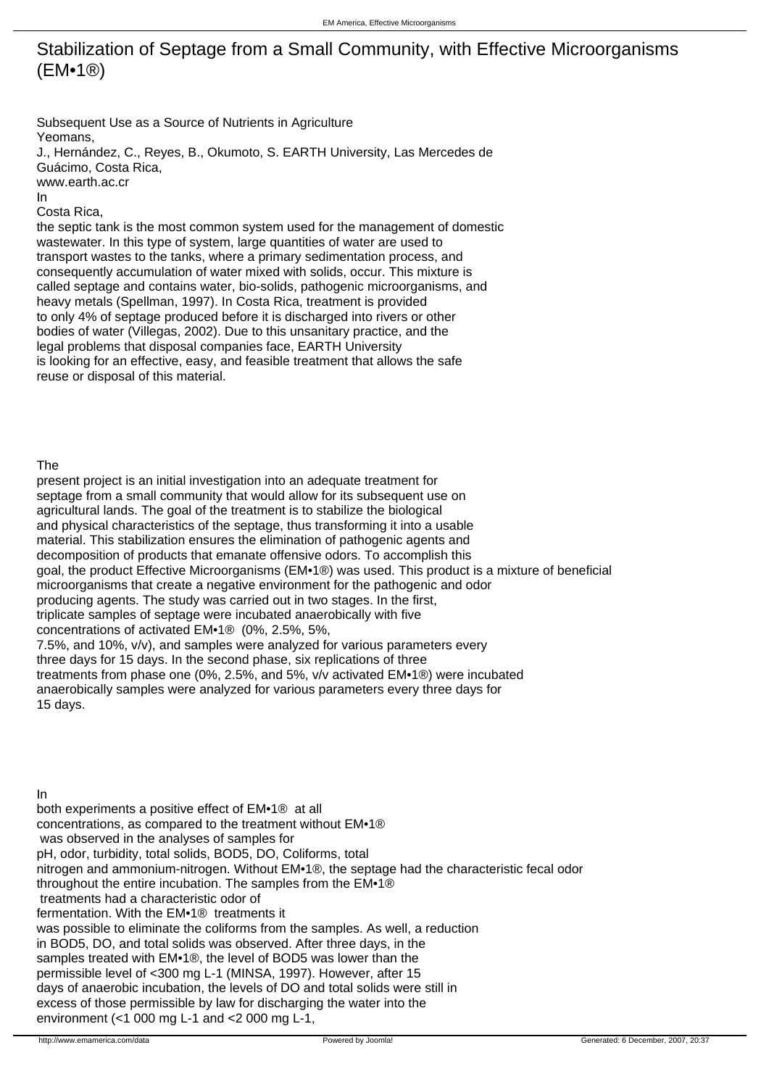## Stabilization of Septage from a Small Community, with Effective Microorganisms (EM•1®)

Subsequent Use as a Source of Nutrients in Agriculture Yeomans,

J., Hernández, C., Reyes, B., Okumoto, S. EARTH University, Las Mercedes de Guácimo, Costa Rica,

www.earth.ac.cr

In

Costa Rica,

the septic tank is the most common system used for the management of domestic wastewater. In this type of system, large quantities of water are used to transport wastes to the tanks, where a primary sedimentation process, and consequently accumulation of water mixed with solids, occur. This mixture is called septage and contains water, bio-solids, pathogenic microorganisms, and heavy metals (Spellman, 1997). In Costa Rica, treatment is provided to only 4% of septage produced before it is discharged into rivers or other bodies of water (Villegas, 2002). Due to this unsanitary practice, and the legal problems that disposal companies face, EARTH University is looking for an effective, easy, and feasible treatment that allows the safe reuse or disposal of this material.

## The

present project is an initial investigation into an adequate treatment for septage from a small community that would allow for its subsequent use on agricultural lands. The goal of the treatment is to stabilize the biological and physical characteristics of the septage, thus transforming it into a usable material. This stabilization ensures the elimination of pathogenic agents and decomposition of products that emanate offensive odors. To accomplish this goal, the product Effective Microorganisms (EM•1®) was used. This product is a mixture of beneficial microorganisms that create a negative environment for the pathogenic and odor producing agents. The study was carried out in two stages. In the first, triplicate samples of septage were incubated anaerobically with five concentrations of activated EM•1® (0%, 2.5%, 5%, 7.5%, and 10%, v/v), and samples were analyzed for various parameters every three days for 15 days. In the second phase, six replications of three treatments from phase one (0%, 2.5%, and 5%, v/v activated EM•1®) were incubated anaerobically samples were analyzed for various parameters every three days for 15 days.

In both experiments a positive effect of EM•1® at all concentrations, as compared to the treatment without EM•1® was observed in the analyses of samples for pH, odor, turbidity, total solids, BOD5, DO, Coliforms, total nitrogen and ammonium-nitrogen. Without EM•1®, the septage had the characteristic fecal odor throughout the entire incubation. The samples from the EM•1® treatments had a characteristic odor of fermentation. With the EM•1® treatments it was possible to eliminate the coliforms from the samples. As well, a reduction in BOD5, DO, and total solids was observed. After three days, in the samples treated with EM•1®, the level of BOD5 was lower than the permissible level of <300 mg L-1 (MINSA, 1997). However, after 15 days of anaerobic incubation, the levels of DO and total solids were still in excess of those permissible by law for discharging the water into the environment (<1 000 mg L-1 and <2 000 mg L-1,